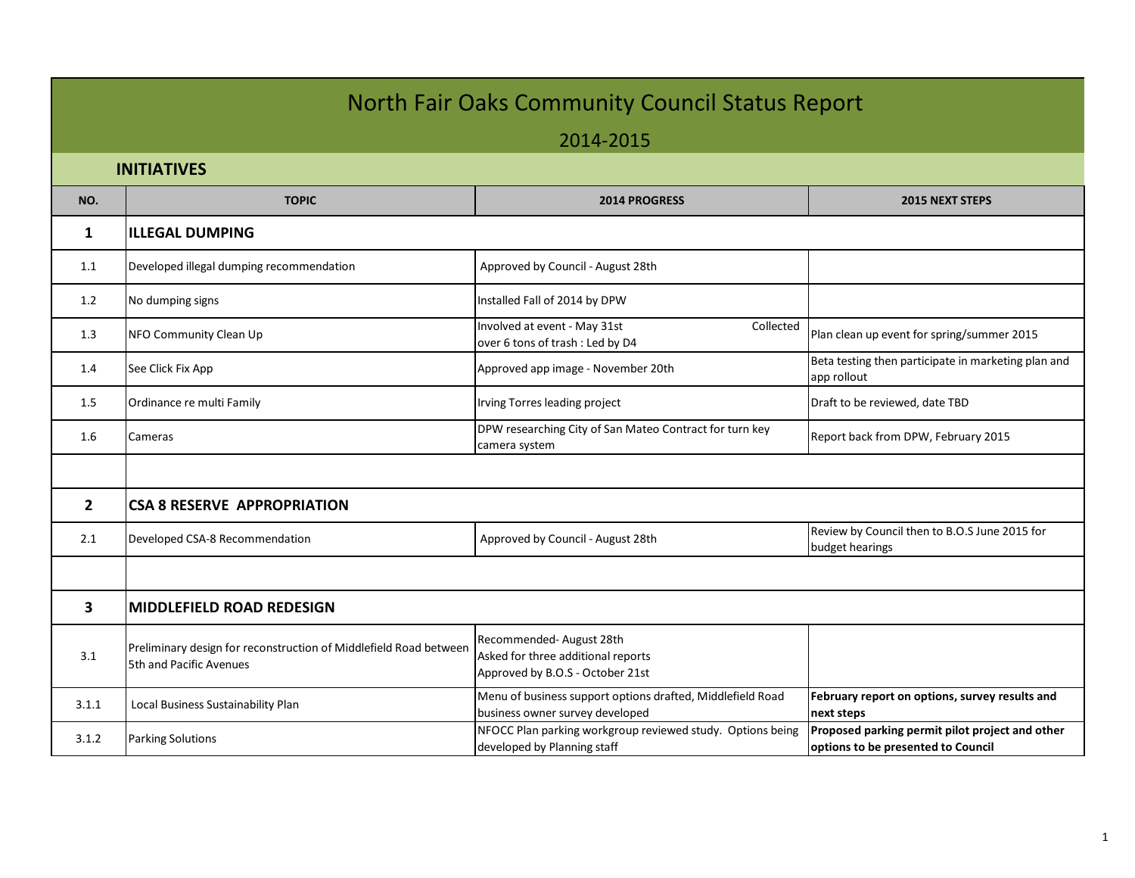## North Fair Oaks Community Council Status Report

## 2014-2015

 **INITIATIVES**

|                | II VI I IM I I V LJ                                                                          |                                                                                                   |                                                                                       |  |  |  |
|----------------|----------------------------------------------------------------------------------------------|---------------------------------------------------------------------------------------------------|---------------------------------------------------------------------------------------|--|--|--|
| NO.            | <b>TOPIC</b>                                                                                 | 2014 PROGRESS                                                                                     | 2015 NEXT STEPS                                                                       |  |  |  |
| $\mathbf{1}$   | <b>ILLEGAL DUMPING</b>                                                                       |                                                                                                   |                                                                                       |  |  |  |
| 1.1            | Developed illegal dumping recommendation                                                     | Approved by Council - August 28th                                                                 |                                                                                       |  |  |  |
| 1.2            | No dumping signs                                                                             | Installed Fall of 2014 by DPW                                                                     |                                                                                       |  |  |  |
| 1.3            | NFO Community Clean Up                                                                       | Involved at event - May 31st<br>Collected<br>over 6 tons of trash : Led by D4                     | Plan clean up event for spring/summer 2015                                            |  |  |  |
| 1.4            | See Click Fix App                                                                            | Approved app image - November 20th                                                                | Beta testing then participate in marketing plan and<br>app rollout                    |  |  |  |
| 1.5            | Ordinance re multi Family                                                                    | Irving Torres leading project                                                                     | Draft to be reviewed, date TBD                                                        |  |  |  |
| 1.6            | Cameras                                                                                      | DPW researching City of San Mateo Contract for turn key<br>camera system                          | Report back from DPW, February 2015                                                   |  |  |  |
|                |                                                                                              |                                                                                                   |                                                                                       |  |  |  |
| $\overline{2}$ | <b>CSA 8 RESERVE APPROPRIATION</b>                                                           |                                                                                                   |                                                                                       |  |  |  |
| 2.1            | Developed CSA-8 Recommendation                                                               | Approved by Council - August 28th                                                                 | Review by Council then to B.O.S June 2015 for<br>budget hearings                      |  |  |  |
|                |                                                                                              |                                                                                                   |                                                                                       |  |  |  |
| 3              | <b>MIDDLEFIELD ROAD REDESIGN</b>                                                             |                                                                                                   |                                                                                       |  |  |  |
| 3.1            | Preliminary design for reconstruction of Middlefield Road between<br>5th and Pacific Avenues | Recommended-August 28th<br>Asked for three additional reports<br>Approved by B.O.S - October 21st |                                                                                       |  |  |  |
| 3.1.1          | Local Business Sustainability Plan                                                           | Menu of business support options drafted, Middlefield Road<br>business owner survey developed     | February report on options, survey results and<br>next steps                          |  |  |  |
| 3.1.2          | <b>Parking Solutions</b>                                                                     | NFOCC Plan parking workgroup reviewed study. Options being<br>developed by Planning staff         | Proposed parking permit pilot project and other<br>options to be presented to Council |  |  |  |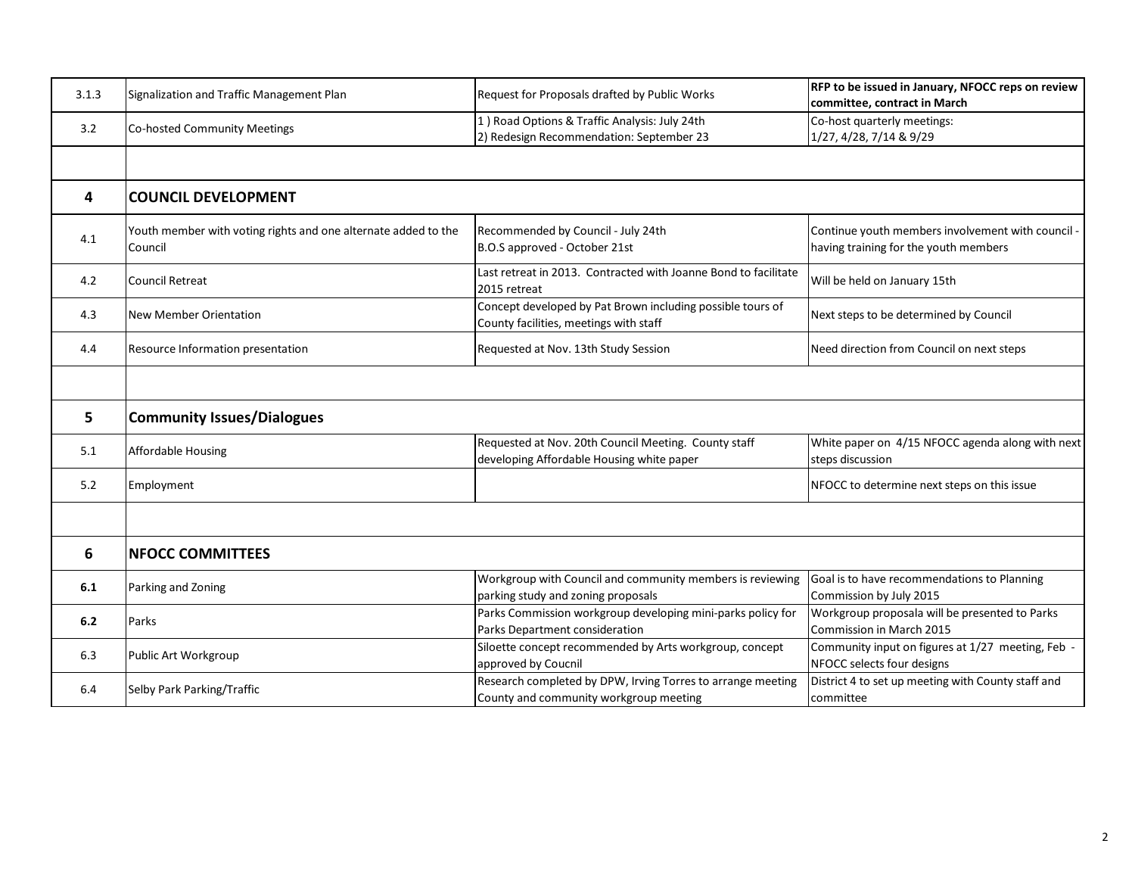| 3.1.3 | Signalization and Traffic Management Plan                                 | Request for Proposals drafted by Public Works                                                         | RFP to be issued in January, NFOCC reps on review<br>committee, contract in March          |  |
|-------|---------------------------------------------------------------------------|-------------------------------------------------------------------------------------------------------|--------------------------------------------------------------------------------------------|--|
| 3.2   | Co-hosted Community Meetings                                              | 1) Road Options & Traffic Analysis: July 24th<br>2) Redesign Recommendation: September 23             | Co-host quarterly meetings:<br>1/27, 4/28, 7/14 & 9/29                                     |  |
|       |                                                                           |                                                                                                       |                                                                                            |  |
| 4     | <b>COUNCIL DEVELOPMENT</b>                                                |                                                                                                       |                                                                                            |  |
| 4.1   | Youth member with voting rights and one alternate added to the<br>Council | Recommended by Council - July 24th<br>B.O.S approved - October 21st                                   | Continue youth members involvement with council -<br>having training for the youth members |  |
| 4.2   | <b>Council Retreat</b>                                                    | Last retreat in 2013. Contracted with Joanne Bond to facilitate<br>2015 retreat                       | Will be held on January 15th                                                               |  |
| 4.3   | New Member Orientation                                                    | Concept developed by Pat Brown including possible tours of<br>County facilities, meetings with staff  | Next steps to be determined by Council                                                     |  |
| 4.4   | <b>Resource Information presentation</b>                                  | Requested at Nov. 13th Study Session                                                                  | Need direction from Council on next steps                                                  |  |
|       |                                                                           |                                                                                                       |                                                                                            |  |
| 5     | <b>Community Issues/Dialogues</b>                                         |                                                                                                       |                                                                                            |  |
| 5.1   | <b>Affordable Housing</b>                                                 | Requested at Nov. 20th Council Meeting. County staff<br>developing Affordable Housing white paper     | White paper on 4/15 NFOCC agenda along with next<br>steps discussion                       |  |
| 5.2   | Employment                                                                |                                                                                                       | NFOCC to determine next steps on this issue                                                |  |
|       |                                                                           |                                                                                                       |                                                                                            |  |
| 6     | <b>NFOCC COMMITTEES</b>                                                   |                                                                                                       |                                                                                            |  |
| 6.1   | Parking and Zoning                                                        | Workgroup with Council and community members is reviewing<br>parking study and zoning proposals       | Goal is to have recommendations to Planning<br>Commission by July 2015                     |  |
| $6.2$ | Parks                                                                     | Parks Commission workgroup developing mini-parks policy for<br>Parks Department consideration         | Workgroup proposala will be presented to Parks<br>Commission in March 2015                 |  |
| 6.3   | Public Art Workgroup                                                      | Siloette concept recommended by Arts workgroup, concept<br>approved by Coucnil                        | Community input on figures at 1/27 meeting, Feb -<br>NFOCC selects four designs            |  |
| 6.4   | Selby Park Parking/Traffic                                                | Research completed by DPW, Irving Torres to arrange meeting<br>County and community workgroup meeting | District 4 to set up meeting with County staff and<br>committee                            |  |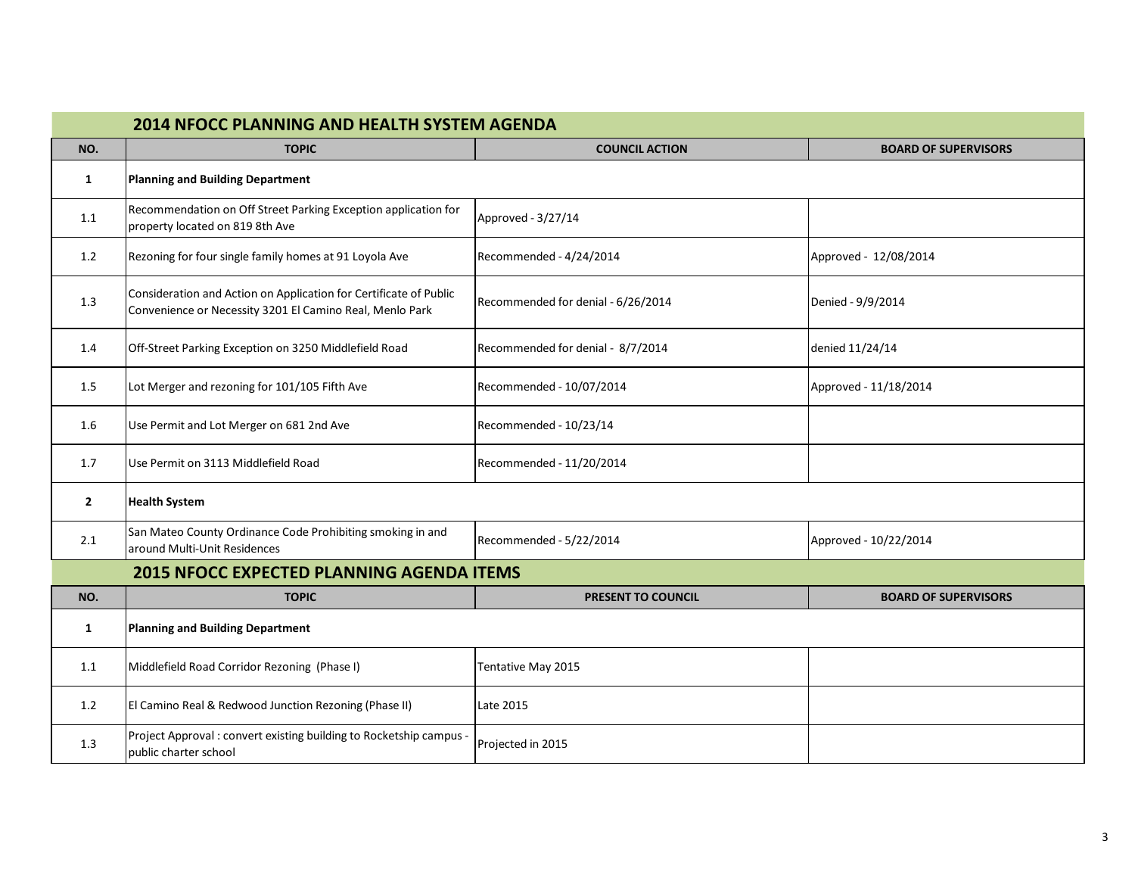| <b>2014 NFOCC PLANNING AND HEALTH SYSTEM AGENDA</b> |                                                                                                                               |                                    |                             |  |  |
|-----------------------------------------------------|-------------------------------------------------------------------------------------------------------------------------------|------------------------------------|-----------------------------|--|--|
| NO.                                                 | <b>TOPIC</b>                                                                                                                  | <b>COUNCIL ACTION</b>              | <b>BOARD OF SUPERVISORS</b> |  |  |
| 1                                                   | Planning and Building Department                                                                                              |                                    |                             |  |  |
| 1.1                                                 | Recommendation on Off Street Parking Exception application for<br>property located on 819 8th Ave                             | Approved - 3/27/14                 |                             |  |  |
| 1.2                                                 | Rezoning for four single family homes at 91 Loyola Ave                                                                        | Recommended - 4/24/2014            | Approved - 12/08/2014       |  |  |
| 1.3                                                 | Consideration and Action on Application for Certificate of Public<br>Convenience or Necessity 3201 El Camino Real, Menlo Park | Recommended for denial - 6/26/2014 | Denied - 9/9/2014           |  |  |
| 1.4                                                 | Off-Street Parking Exception on 3250 Middlefield Road                                                                         | Recommended for denial - 8/7/2014  | denied 11/24/14             |  |  |
| 1.5                                                 | Lot Merger and rezoning for 101/105 Fifth Ave                                                                                 | Recommended - 10/07/2014           | Approved - 11/18/2014       |  |  |
| 1.6                                                 | Use Permit and Lot Merger on 681 2nd Ave                                                                                      | Recommended - 10/23/14             |                             |  |  |
| 1.7                                                 | Use Permit on 3113 Middlefield Road                                                                                           | Recommended - 11/20/2014           |                             |  |  |
| $\overline{2}$                                      | <b>Health System</b>                                                                                                          |                                    |                             |  |  |
| 2.1                                                 | San Mateo County Ordinance Code Prohibiting smoking in and<br>around Multi-Unit Residences                                    | Recommended - 5/22/2014            | Approved - 10/22/2014       |  |  |
| <b>2015 NFOCC EXPECTED PLANNING AGENDA ITEMS</b>    |                                                                                                                               |                                    |                             |  |  |
| NO.                                                 | <b>TOPIC</b>                                                                                                                  | <b>PRESENT TO COUNCIL</b>          | <b>BOARD OF SUPERVISORS</b> |  |  |
| 1                                                   | <b>Planning and Building Department</b>                                                                                       |                                    |                             |  |  |
| 1.1                                                 | Middlefield Road Corridor Rezoning (Phase I)                                                                                  | Tentative May 2015                 |                             |  |  |
| 1.2                                                 | El Camino Real & Redwood Junction Rezoning (Phase II)                                                                         | Late 2015                          |                             |  |  |
| 1.3                                                 | Project Approval: convert existing building to Rocketship campus -<br>public charter school                                   | Projected in 2015                  |                             |  |  |